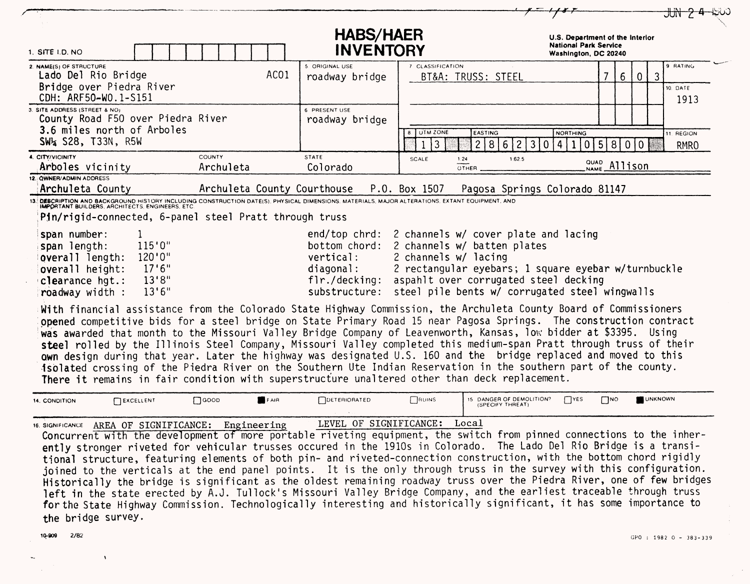| 1. SITE I.D. NO                                                                                                                                                                                                                                                                                                                                                                                                                                                                                                                                                                                        |                            |      | <b>HABS/HAER</b><br><b>INVENTORY</b>                    |                                                                                                                                                                                                                                                                                         | U.S. Department of the Interior<br><b>National Park Service</b><br>Washington, DC 20240 |                      |                |                                              |
|--------------------------------------------------------------------------------------------------------------------------------------------------------------------------------------------------------------------------------------------------------------------------------------------------------------------------------------------------------------------------------------------------------------------------------------------------------------------------------------------------------------------------------------------------------------------------------------------------------|----------------------------|------|---------------------------------------------------------|-----------------------------------------------------------------------------------------------------------------------------------------------------------------------------------------------------------------------------------------------------------------------------------------|-----------------------------------------------------------------------------------------|----------------------|----------------|----------------------------------------------|
| 2. NAME(S) OF STRUCTURE<br>Lado Del Rio Bridge<br>Bridge over Piedra River<br>CDH: ARF50-WO.1-S151                                                                                                                                                                                                                                                                                                                                                                                                                                                                                                     |                            | ACO1 | 5. ORIGINAL USE<br>roadway bridge                       | 7 CLASSIFICATION<br>BT&A: TRUSS: STEEL                                                                                                                                                                                                                                                  |                                                                                         | $6\phantom{.}6$<br>7 | $\overline{0}$ | 9 RATING<br>$\mathbf{3}$<br>10. DATE<br>1913 |
| 3. SITE ADDRESS (STREET & NO)<br>County Road F50 over Piedra River<br>3.6 miles north of Arboles<br>SW4 S28, T33N, R5W                                                                                                                                                                                                                                                                                                                                                                                                                                                                                 |                            |      | 6 PRESENT USE<br>roadway bridge                         | <b>8. UTM ZONE</b><br>EASTING<br>2 <sup>1</sup><br> 3<br>1                                                                                                                                                                                                                              | <b>NORTHING</b><br>862<br>3 0 <br>  4                                                   | 1 0 5 8              | 0   0          | 11. REGION<br><b>RMRO</b>                    |
| 4. CITY/VICINITY<br>Arboles vicinity<br>12. QWNER/ADMIN ADDRESS<br>Archuleta County                                                                                                                                                                                                                                                                                                                                                                                                                                                                                                                    | <b>COUNTY</b><br>Archuleta |      | <b>STATE</b><br>Colorado<br>Archuleta County Courthouse | SCALE<br>1:24<br>OTHER<br>P.O. Box 1507                                                                                                                                                                                                                                                 | 1:62.5<br>Pagosa Springs Colorado 81147                                                 | <b>QUAD</b> Allison  |                |                                              |
| DESCRIPTION AND BACKGROUND HISTORY INCLUDING CONSTRUCTION DATE(S), PHYSICAL DIMENSIONS, MATERIALS, MAJOR ALTERATIONS, EXTANT EQUIPMENT, AND<br> MPORTANT BUILDERS, ARCHITECTS, ENGINEERS, ETC.<br>Pin/rigid-connected, 6-panel steel Pratt through truss                                                                                                                                                                                                                                                                                                                                               |                            |      |                                                         |                                                                                                                                                                                                                                                                                         |                                                                                         |                      |                |                                              |
| span number:<br>115'0''<br>span length:<br>120'0''<br>overall length:<br>17'6''<br>overall height:<br>13'8''<br>clearance hqt.:<br>13'6''<br>roadway width :                                                                                                                                                                                                                                                                                                                                                                                                                                           |                            |      | vertical:<br>diagonal:<br>flr./decking:                 | end/top chrd: 2 channels w/ cover plate and lacing<br>bottom chord: 2 channels w/ batten plates<br>2 channels w/ lacing<br>2 rectangular eyebars; 1 square eyebar w/turnbuckle<br>aspahlt over corrugated steel decking<br>substructure: steel pile bents w/ corrugated steel wingwalls |                                                                                         |                      |                |                                              |
| With financial assistance from the Colorado State Highway Commission, the Archuleta County Board of Commissioners<br>opened competitive bids for a steel bridge on State Primary Road 15 near Pagosa Springs. The construction contract<br>was awarded that month to the Missouri Valley Bridge Company of Leavenworth, Kansas, low bidder at \$3395. Using<br>steel rolled by the Illinois Steel Company, Missouri Valley completed this medium-span Pratt through truss of their<br>own design during that year. Later the highway was designated U.S. 160 and the bridge replaced and moved to this |                            |      |                                                         |                                                                                                                                                                                                                                                                                         |                                                                                         |                      |                |                                              |
| isolated crossing of the Piedra River on the Southern Ute Indian Reservation in the southern part of the county.<br>There it remains in fair condition with superstructure unaltered other than deck replacement.                                                                                                                                                                                                                                                                                                                                                                                      |                            |      |                                                         |                                                                                                                                                                                                                                                                                         |                                                                                         |                      |                |                                              |

tional structure, featuring elements of both pin- and riveted-connection construction, with the bottom chord rigidly joined to the verticals at the end panel points. It is the only through truss in the survey with this configuration. Historically the bridge is significant as the oldest remaining roadway truss over the Piedra River, one of few bridges left in the state erected by A.J. Tullock's Missouri Valley Bridge Company, and the earliest traceable through truss for the State Highway Commission. Technologically interesting and historically significant, it has some importance to the bridge survey.

 $\lambda$